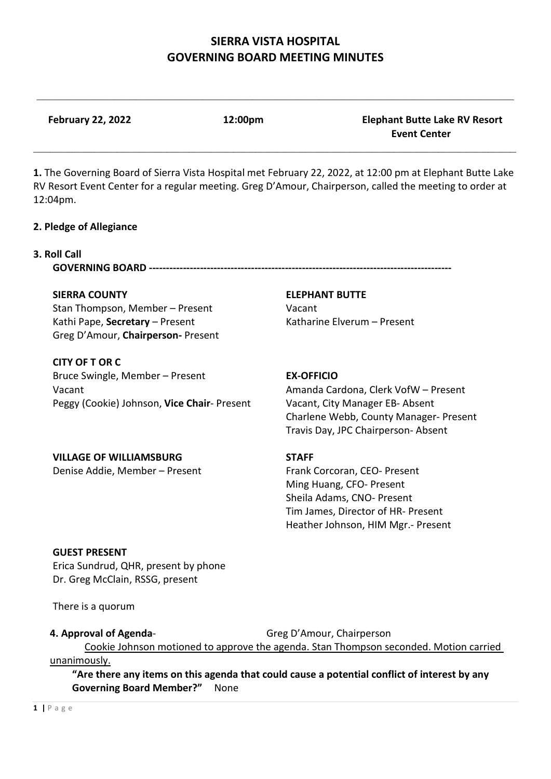$\_$ 

| <b>February 22, 2022</b>                                              | 12:00pm      | <b>Elephant Butte Lake RV Resort</b><br><b>Event Center</b>                                                                                                                                                          |
|-----------------------------------------------------------------------|--------------|----------------------------------------------------------------------------------------------------------------------------------------------------------------------------------------------------------------------|
| 12:04pm.                                                              |              | 1. The Governing Board of Sierra Vista Hospital met February 22, 2022, at 12:00 pm at Elephant Butte Lake<br>RV Resort Event Center for a regular meeting. Greg D'Amour, Chairperson, called the meeting to order at |
| 2. Pledge of Allegiance                                               |              |                                                                                                                                                                                                                      |
| 3. Roll Call                                                          |              |                                                                                                                                                                                                                      |
| <b>SIERRA COUNTY</b>                                                  |              | <b>ELEPHANT BUTTE</b>                                                                                                                                                                                                |
| Stan Thompson, Member - Present                                       |              | Vacant                                                                                                                                                                                                               |
| Kathi Pape, Secretary - Present<br>Greg D'Amour, Chairperson- Present |              | Katharine Elverum - Present                                                                                                                                                                                          |
| <b>CITY OF T OR C</b>                                                 |              |                                                                                                                                                                                                                      |
| Bruce Swingle, Member - Present                                       |              | <b>EX-OFFICIO</b>                                                                                                                                                                                                    |
| Vacant                                                                |              | Amanda Cardona, Clerk VofW - Present                                                                                                                                                                                 |
| Peggy (Cookie) Johnson, Vice Chair- Present                           |              | Vacant, City Manager EB- Absent                                                                                                                                                                                      |
|                                                                       |              | Charlene Webb, County Manager- Present<br>Travis Day, JPC Chairperson- Absent                                                                                                                                        |
| <b>VILLAGE OF WILLIAMSBURG</b>                                        | <b>STAFF</b> |                                                                                                                                                                                                                      |
| Denise Addie, Member - Present                                        |              | Frank Corcoran, CEO- Present                                                                                                                                                                                         |
|                                                                       |              | Ming Huang, CFO- Present                                                                                                                                                                                             |
|                                                                       |              | Sheila Adams, CNO- Present                                                                                                                                                                                           |
|                                                                       |              | Tim James, Director of HR- Present<br>Heather Johnson, HIM Mgr.- Present                                                                                                                                             |
|                                                                       |              |                                                                                                                                                                                                                      |
| <b>GUEST PRESENT</b>                                                  |              |                                                                                                                                                                                                                      |
| Erica Sundrud, QHR, present by phone                                  |              |                                                                                                                                                                                                                      |
| Dr. Greg McClain, RSSG, present                                       |              |                                                                                                                                                                                                                      |
|                                                                       |              |                                                                                                                                                                                                                      |

**4. Approval of Agenda-** Greg D'Amour, Chairperson

**Governing Board Member?"** None

Cookie Johnson motioned to approve the agenda. Stan Thompson seconded. Motion carried

**"Are there any items on this agenda that could cause a potential conflict of interest by any** 

There is a quorum

unanimously.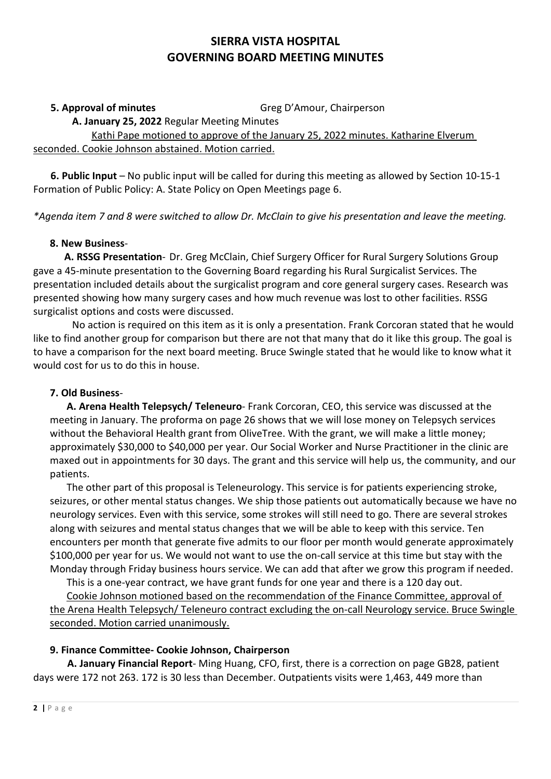**5. Approval of minutes** Greg D'Amour, Chairperson

**A. January 25, 2022** Regular Meeting Minutes

 Kathi Pape motioned to approve of the January 25, 2022 minutes. Katharine Elverum seconded. Cookie Johnson abstained. Motion carried.

 **6. Public Input** – No public input will be called for during this meeting as allowed by Section 10-15-1 Formation of Public Policy: A. State Policy on Open Meetings page 6.

*\*Agenda item 7 and 8 were switched to allow Dr. McClain to give his presentation and leave the meeting.* 

## **8. New Business**-

 **A. RSSG Presentation**- Dr. Greg McClain, Chief Surgery Officer for Rural Surgery Solutions Group gave a 45-minute presentation to the Governing Board regarding his Rural Surgicalist Services. The presentation included details about the surgicalist program and core general surgery cases. Research was presented showing how many surgery cases and how much revenue was lost to other facilities. RSSG surgicalist options and costs were discussed.

 No action is required on this item as it is only a presentation. Frank Corcoran stated that he would like to find another group for comparison but there are not that many that do it like this group. The goal is to have a comparison for the next board meeting. Bruce Swingle stated that he would like to know what it would cost for us to do this in house.

## **7. Old Business**-

**A. Arena Health Telepsych/ Teleneuro**- Frank Corcoran, CEO, this service was discussed at the meeting in January. The proforma on page 26 shows that we will lose money on Telepsych services without the Behavioral Health grant from OliveTree. With the grant, we will make a little money; approximately \$30,000 to \$40,000 per year. Our Social Worker and Nurse Practitioner in the clinic are maxed out in appointments for 30 days. The grant and this service will help us, the community, and our patients.

The other part of this proposal is Teleneurology. This service is for patients experiencing stroke, seizures, or other mental status changes. We ship those patients out automatically because we have no neurology services. Even with this service, some strokes will still need to go. There are several strokes along with seizures and mental status changes that we will be able to keep with this service. Ten encounters per month that generate five admits to our floor per month would generate approximately \$100,000 per year for us. We would not want to use the on-call service at this time but stay with the Monday through Friday business hours service. We can add that after we grow this program if needed.

This is a one-year contract, we have grant funds for one year and there is a 120 day out. Cookie Johnson motioned based on the recommendation of the Finance Committee, approval of the Arena Health Telepsych/ Teleneuro contract excluding the on-call Neurology service. Bruce Swingle seconded. Motion carried unanimously.

## **9. Finance Committee- Cookie Johnson, Chairperson**

 **A. January Financial Report**- Ming Huang, CFO, first, there is a correction on page GB28, patient days were 172 not 263. 172 is 30 less than December. Outpatients visits were 1,463, 449 more than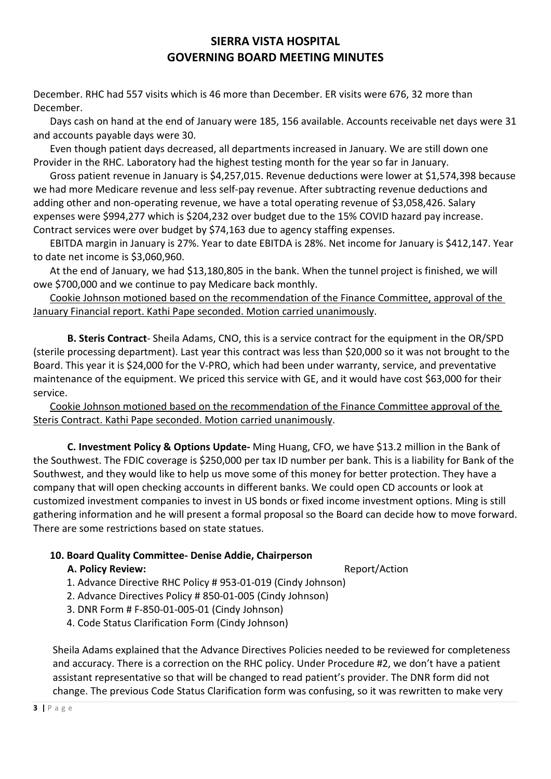December. RHC had 557 visits which is 46 more than December. ER visits were 676, 32 more than December.

Days cash on hand at the end of January were 185, 156 available. Accounts receivable net days were 31 and accounts payable days were 30.

Even though patient days decreased, all departments increased in January. We are still down one Provider in the RHC. Laboratory had the highest testing month for the year so far in January.

Gross patient revenue in January is \$4,257,015. Revenue deductions were lower at \$1,574,398 because we had more Medicare revenue and less self-pay revenue. After subtracting revenue deductions and adding other and non-operating revenue, we have a total operating revenue of \$3,058,426. Salary expenses were \$994,277 which is \$204,232 over budget due to the 15% COVID hazard pay increase. Contract services were over budget by \$74,163 due to agency staffing expenses.

EBITDA margin in January is 27%. Year to date EBITDA is 28%. Net income for January is \$412,147. Year to date net income is \$3,060,960.

At the end of January, we had \$13,180,805 in the bank. When the tunnel project is finished, we will owe \$700,000 and we continue to pay Medicare back monthly.

Cookie Johnson motioned based on the recommendation of the Finance Committee, approval of the January Financial report. Kathi Pape seconded. Motion carried unanimously.

 **B. Steris Contract**- Sheila Adams, CNO, this is a service contract for the equipment in the OR/SPD (sterile processing department). Last year this contract was less than \$20,000 so it was not brought to the Board. This year it is \$24,000 for the V-PRO, which had been under warranty, service, and preventative maintenance of the equipment. We priced this service with GE, and it would have cost \$63,000 for their service.

Cookie Johnson motioned based on the recommendation of the Finance Committee approval of the Steris Contract. Kathi Pape seconded. Motion carried unanimously.

 **C. Investment Policy & Options Update-** Ming Huang, CFO, we have \$13.2 million in the Bank of the Southwest. The FDIC coverage is \$250,000 per tax ID number per bank. This is a liability for Bank of the Southwest, and they would like to help us move some of this money for better protection. They have a company that will open checking accounts in different banks. We could open CD accounts or look at customized investment companies to invest in US bonds or fixed income investment options. Ming is still gathering information and he will present a formal proposal so the Board can decide how to move forward. There are some restrictions based on state statues.

## **10. Board Quality Committee- Denise Addie, Chairperson**

#### **A. Policy Review:**  $\qquad \qquad$  **Report/Action**

- 1. Advance Directive RHC Policy # 953-01-019 (Cindy Johnson)
- 2. Advance Directives Policy # 850-01-005 (Cindy Johnson)
- 3. DNR Form # F-850-01-005-01 (Cindy Johnson)
- 4. Code Status Clarification Form (Cindy Johnson)

Sheila Adams explained that the Advance Directives Policies needed to be reviewed for completeness and accuracy. There is a correction on the RHC policy. Under Procedure #2, we don't have a patient assistant representative so that will be changed to read patient's provider. The DNR form did not change. The previous Code Status Clarification form was confusing, so it was rewritten to make very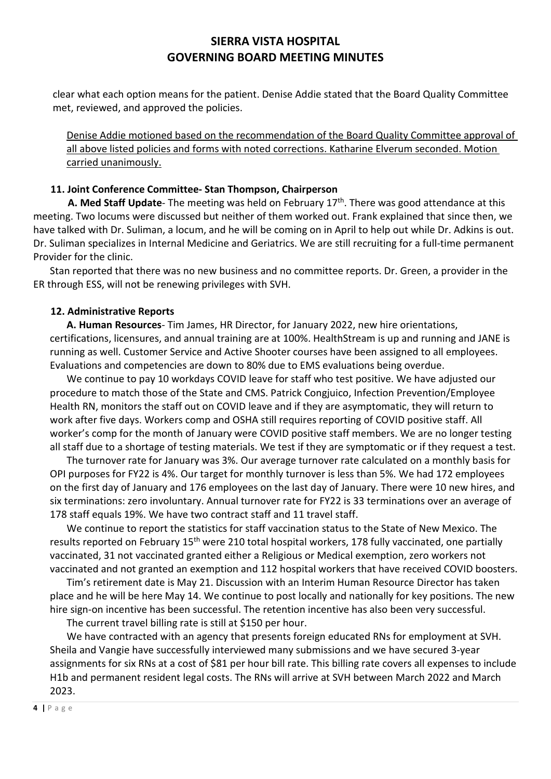clear what each option means for the patient. Denise Addie stated that the Board Quality Committee met, reviewed, and approved the policies.

Denise Addie motioned based on the recommendation of the Board Quality Committee approval of all above listed policies and forms with noted corrections. Katharine Elverum seconded. Motion carried unanimously.

#### **11. Joint Conference Committee- Stan Thompson, Chairperson**

**A. Med Staff Update**- The meeting was held on February 17<sup>th</sup>. There was good attendance at this meeting. Two locums were discussed but neither of them worked out. Frank explained that since then, we have talked with Dr. Suliman, a locum, and he will be coming on in April to help out while Dr. Adkins is out. Dr. Suliman specializes in Internal Medicine and Geriatrics. We are still recruiting for a full-time permanent Provider for the clinic.

Stan reported that there was no new business and no committee reports. Dr. Green, a provider in the ER through ESS, will not be renewing privileges with SVH.

#### **12. Administrative Reports**

**A. Human Resources**- Tim James, HR Director, for January 2022, new hire orientations, certifications, licensures, and annual training are at 100%. HealthStream is up and running and JANE is running as well. Customer Service and Active Shooter courses have been assigned to all employees. Evaluations and competencies are down to 80% due to EMS evaluations being overdue.

We continue to pay 10 workdays COVID leave for staff who test positive. We have adjusted our procedure to match those of the State and CMS. Patrick Congjuico, Infection Prevention/Employee Health RN, monitors the staff out on COVID leave and if they are asymptomatic, they will return to work after five days. Workers comp and OSHA still requires reporting of COVID positive staff. All worker's comp for the month of January were COVID positive staff members. We are no longer testing all staff due to a shortage of testing materials. We test if they are symptomatic or if they request a test.

The turnover rate for January was 3%. Our average turnover rate calculated on a monthly basis for OPI purposes for FY22 is 4%. Our target for monthly turnover is less than 5%. We had 172 employees on the first day of January and 176 employees on the last day of January. There were 10 new hires, and six terminations: zero involuntary. Annual turnover rate for FY22 is 33 terminations over an average of 178 staff equals 19%. We have two contract staff and 11 travel staff.

We continue to report the statistics for staff vaccination status to the State of New Mexico. The results reported on February 15<sup>th</sup> were 210 total hospital workers, 178 fully vaccinated, one partially vaccinated, 31 not vaccinated granted either a Religious or Medical exemption, zero workers not vaccinated and not granted an exemption and 112 hospital workers that have received COVID boosters.

Tim's retirement date is May 21. Discussion with an Interim Human Resource Director has taken place and he will be here May 14. We continue to post locally and nationally for key positions. The new hire sign-on incentive has been successful. The retention incentive has also been very successful.

The current travel billing rate is still at \$150 per hour.

We have contracted with an agency that presents foreign educated RNs for employment at SVH. Sheila and Vangie have successfully interviewed many submissions and we have secured 3-year assignments for six RNs at a cost of \$81 per hour bill rate. This billing rate covers all expenses to include H1b and permanent resident legal costs. The RNs will arrive at SVH between March 2022 and March 2023.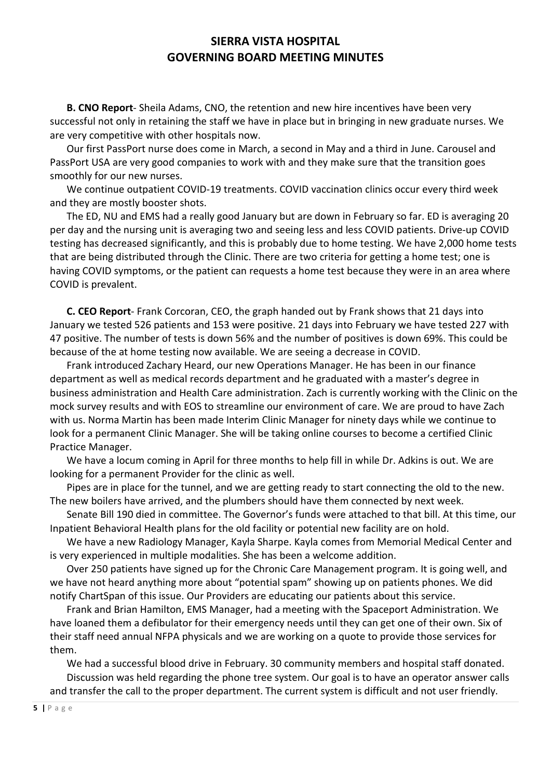**B. CNO Report**- Sheila Adams, CNO, the retention and new hire incentives have been very successful not only in retaining the staff we have in place but in bringing in new graduate nurses. We are very competitive with other hospitals now.

Our first PassPort nurse does come in March, a second in May and a third in June. Carousel and PassPort USA are very good companies to work with and they make sure that the transition goes smoothly for our new nurses.

We continue outpatient COVID-19 treatments. COVID vaccination clinics occur every third week and they are mostly booster shots.

The ED, NU and EMS had a really good January but are down in February so far. ED is averaging 20 per day and the nursing unit is averaging two and seeing less and less COVID patients. Drive-up COVID testing has decreased significantly, and this is probably due to home testing. We have 2,000 home tests that are being distributed through the Clinic. There are two criteria for getting a home test; one is having COVID symptoms, or the patient can requests a home test because they were in an area where COVID is prevalent.

**C. CEO Report**- Frank Corcoran, CEO, the graph handed out by Frank shows that 21 days into January we tested 526 patients and 153 were positive. 21 days into February we have tested 227 with 47 positive. The number of tests is down 56% and the number of positives is down 69%. This could be because of the at home testing now available. We are seeing a decrease in COVID.

Frank introduced Zachary Heard, our new Operations Manager. He has been in our finance department as well as medical records department and he graduated with a master's degree in business administration and Health Care administration. Zach is currently working with the Clinic on the mock survey results and with EOS to streamline our environment of care. We are proud to have Zach with us. Norma Martin has been made Interim Clinic Manager for ninety days while we continue to look for a permanent Clinic Manager. She will be taking online courses to become a certified Clinic Practice Manager.

We have a locum coming in April for three months to help fill in while Dr. Adkins is out. We are looking for a permanent Provider for the clinic as well.

Pipes are in place for the tunnel, and we are getting ready to start connecting the old to the new. The new boilers have arrived, and the plumbers should have them connected by next week.

Senate Bill 190 died in committee. The Governor's funds were attached to that bill. At this time, our Inpatient Behavioral Health plans for the old facility or potential new facility are on hold.

We have a new Radiology Manager, Kayla Sharpe. Kayla comes from Memorial Medical Center and is very experienced in multiple modalities. She has been a welcome addition.

Over 250 patients have signed up for the Chronic Care Management program. It is going well, and we have not heard anything more about "potential spam" showing up on patients phones. We did notify ChartSpan of this issue. Our Providers are educating our patients about this service.

Frank and Brian Hamilton, EMS Manager, had a meeting with the Spaceport Administration. We have loaned them a defibulator for their emergency needs until they can get one of their own. Six of their staff need annual NFPA physicals and we are working on a quote to provide those services for them.

We had a successful blood drive in February. 30 community members and hospital staff donated. Discussion was held regarding the phone tree system. Our goal is to have an operator answer calls and transfer the call to the proper department. The current system is difficult and not user friendly.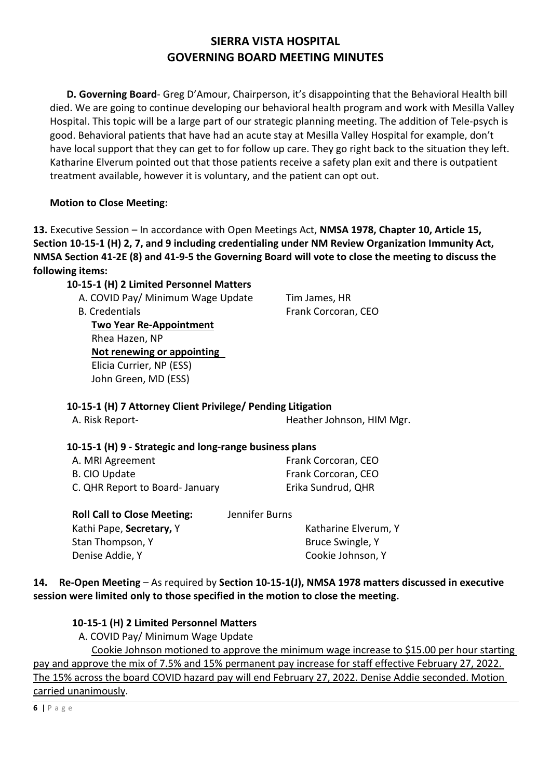**D. Governing Board**- Greg D'Amour, Chairperson, it's disappointing that the Behavioral Health bill died. We are going to continue developing our behavioral health program and work with Mesilla Valley Hospital. This topic will be a large part of our strategic planning meeting. The addition of Tele-psych is good. Behavioral patients that have had an acute stay at Mesilla Valley Hospital for example, don't have local support that they can get to for follow up care. They go right back to the situation they left. Katharine Elverum pointed out that those patients receive a safety plan exit and there is outpatient treatment available, however it is voluntary, and the patient can opt out.

## **Motion to Close Meeting:**

**13.** Executive Session – In accordance with Open Meetings Act, **NMSA 1978, Chapter 10, Article 15, Section 10-15-1 (H) 2, 7, and 9 including credentialing under NM Review Organization Immunity Act, NMSA Section 41-2E (8) and 41-9-5 the Governing Board will vote to close the meeting to discuss the following items:** 

## **10-15-1 (H) 2 Limited Personnel Matters**

A. COVID Pay/ Minimum Wage Update Tim James, HR

B. Credentials **Example 20 Frank Corcoran**, CEO **Two Year Re-Appointment** Rhea Hazen, NP **Not renewing or appointing**  Elicia Currier, NP (ESS) John Green, MD (ESS)

## **10-15-1 (H) 7 Attorney Client Privilege/ Pending Litigation**

| A. Risk Report- |  | Heather Johnson, HIM Mgr. |  |
|-----------------|--|---------------------------|--|

## **10-15-1 (H) 9 - Strategic and long-range business plans**

| A. MRI Agreement               | Frank Corcoran, CEO |
|--------------------------------|---------------------|
| B. CIO Update                  | Frank Corcoran, CEO |
| C. QHR Report to Board-January | Erika Sundrud, QHR  |

| Jennifer Burns |                      |
|----------------|----------------------|
|                | Katharine Elverum, Y |
|                | Bruce Swingle, Y     |
|                | Cookie Johnson, Y    |
|                |                      |

## **14. Re-Open Meeting** – As required by **Section 10-15-1(J), NMSA 1978 matters discussed in executive session were limited only to those specified in the motion to close the meeting.**

## **10-15-1 (H) 2 Limited Personnel Matters**

A. COVID Pay/ Minimum Wage Update

 Cookie Johnson motioned to approve the minimum wage increase to \$15.00 per hour starting pay and approve the mix of 7.5% and 15% permanent pay increase for staff effective February 27, 2022. The 15% across the board COVID hazard pay will end February 27, 2022. Denise Addie seconded. Motion carried unanimously.